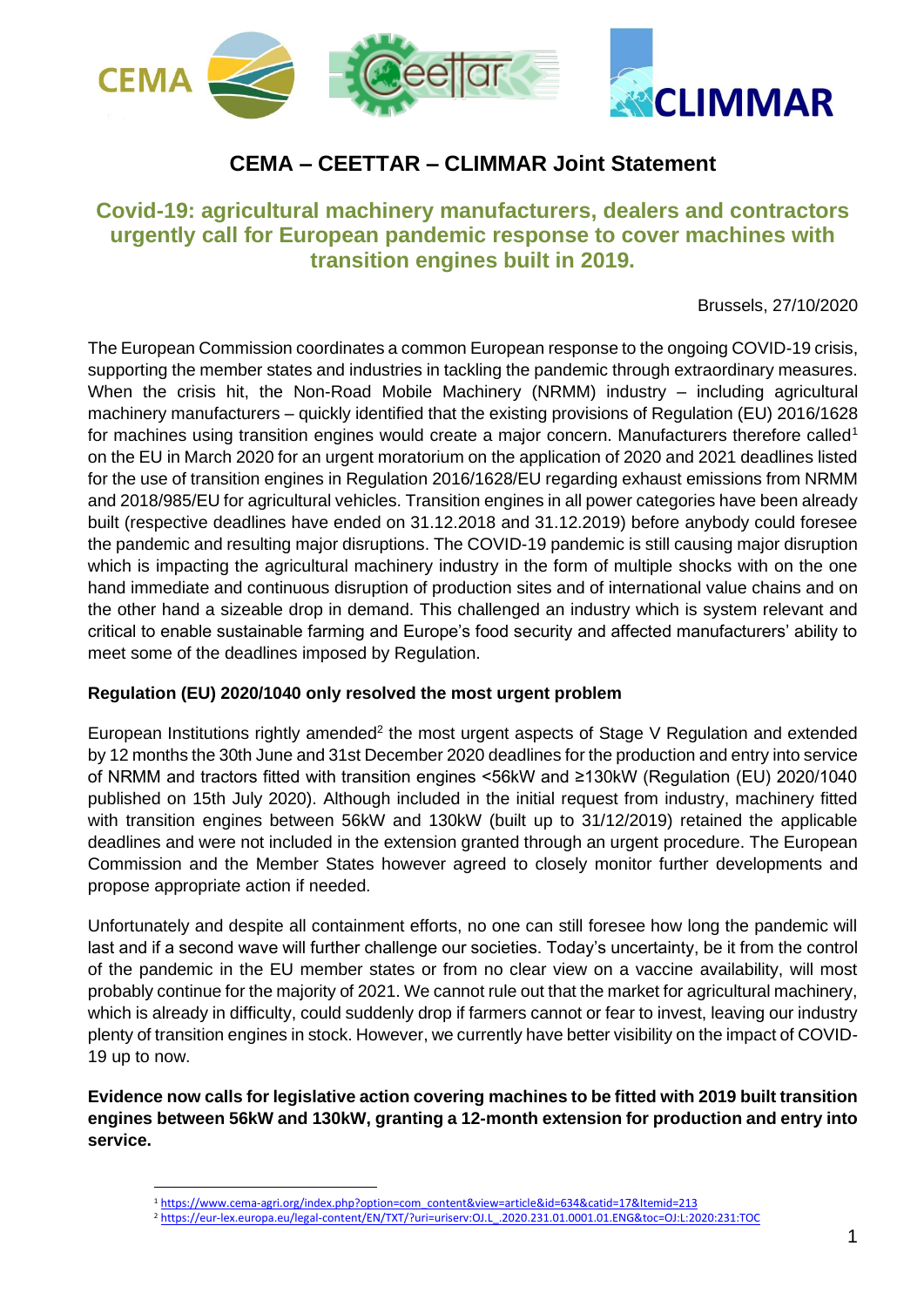

# **CEMA – CEETTAR – CLIMMAR Joint Statement**

# **Covid-19: agricultural machinery manufacturers, dealers and contractors urgently call for European pandemic response to cover machines with transition engines built in 2019.**

Brussels, 27/10/2020

The European Commission coordinates a common European response to the ongoing COVID-19 crisis, supporting the member states and industries in tackling the pandemic through extraordinary measures. When the crisis hit, the Non-Road Mobile Machinery (NRMM) industry – including agricultural machinery manufacturers – quickly identified that the existing provisions of Regulation (EU) 2016/1628 for machines using transition engines would create a major concern. Manufacturers therefore called<sup>1</sup> on the EU in March 2020 for an urgent moratorium on the application of 2020 and 2021 deadlines listed for the use of transition engines in Regulation 2016/1628/EU regarding exhaust emissions from NRMM and 2018/985/EU for agricultural vehicles. Transition engines in all power categories have been already built (respective deadlines have ended on 31.12.2018 and 31.12.2019) before anybody could foresee the pandemic and resulting major disruptions. The COVID-19 pandemic is still causing major disruption which is impacting the agricultural machinery industry in the form of multiple shocks with on the one hand immediate and continuous disruption of production sites and of international value chains and on the other hand a sizeable drop in demand. This challenged an industry which is system relevant and critical to enable sustainable farming and Europe's food security and affected manufacturers' ability to meet some of the deadlines imposed by Regulation.

### **Regulation (EU) 2020/1040 only resolved the most urgent problem**

European Institutions rightly amended<sup>2</sup> the most urgent aspects of Stage V Regulation and extended by 12 months the 30th June and 31st December 2020 deadlines for the production and entry into service of NRMM and tractors fitted with transition engines <56kW and ≥130kW (Regulation (EU) 2020/1040 published on 15th July 2020). Although included in the initial request from industry, machinery fitted with transition engines between 56kW and 130kW (built up to 31/12/2019) retained the applicable deadlines and were not included in the extension granted through an urgent procedure. The European Commission and the Member States however agreed to closely monitor further developments and propose appropriate action if needed.

Unfortunately and despite all containment efforts, no one can still foresee how long the pandemic will last and if a second wave will further challenge our societies. Today's uncertainty, be it from the control of the pandemic in the EU member states or from no clear view on a vaccine availability, will most probably continue for the majority of 2021. We cannot rule out that the market for agricultural machinery, which is already in difficulty, could suddenly drop if farmers cannot or fear to invest, leaving our industry plenty of transition engines in stock. However, we currently have better visibility on the impact of COVID-19 up to now.

**Evidence now calls for legislative action covering machines to be fitted with 2019 built transition engines between 56kW and 130kW, granting a 12-month extension for production and entry into service.**

<sup>1</sup> [https://www.cema-agri.org/index.php?option=com\\_content&view=article&id=634&catid=17&Itemid=213](https://www.cema-agri.org/index.php?option=com_content&view=article&id=634&catid=17&Itemid=213)

<sup>2</sup> [https://eur-lex.europa.eu/legal-content/EN/TXT/?uri=uriserv:OJ.L\\_.2020.231.01.0001.01.ENG&toc=OJ:L:2020:231:TOC](https://eur-lex.europa.eu/legal-content/EN/TXT/?uri=uriserv:OJ.L_.2020.231.01.0001.01.ENG&toc=OJ:L:2020:231:TOC)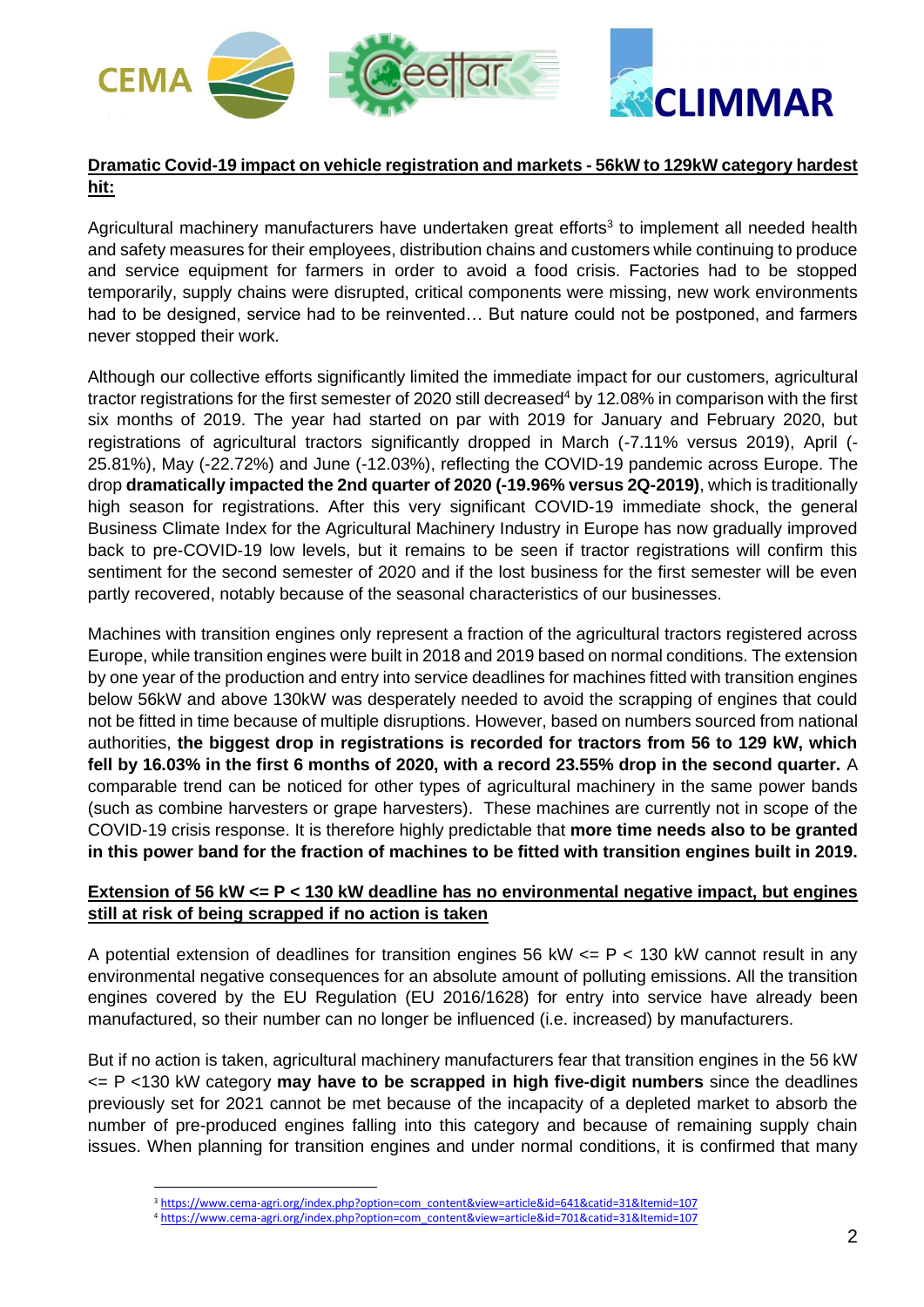

# **Dramatic Covid-19 impact on vehicle registration and markets - 56kW to 129kW category hardest hit:**

Agricultural machinery manufacturers have undertaken great efforts<sup>3</sup> to implement all needed health and safety measures for their employees, distribution chains and customers while continuing to produce and service equipment for farmers in order to avoid a food crisis. Factories had to be stopped temporarily, supply chains were disrupted, critical components were missing, new work environments had to be designed, service had to be reinvented… But nature could not be postponed, and farmers never stopped their work.

Although our collective efforts significantly limited the immediate impact for our customers, agricultural tractor registrations for the first semester of 2020 still decreased<sup>4</sup> by 12.08% in comparison with the first six months of 2019. The year had started on par with 2019 for January and February 2020, but registrations of agricultural tractors significantly dropped in March (-7.11% versus 2019), April (- 25.81%), May (-22.72%) and June (-12.03%), reflecting the COVID-19 pandemic across Europe. The drop **dramatically impacted the 2nd quarter of 2020 (-19.96% versus 2Q-2019)**, which is traditionally high season for registrations. After this very significant COVID-19 immediate shock, the general Business Climate Index for the Agricultural Machinery Industry in Europe has now gradually improved back to pre-COVID-19 low levels, but it remains to be seen if tractor registrations will confirm this sentiment for the second semester of 2020 and if the lost business for the first semester will be even partly recovered, notably because of the seasonal characteristics of our businesses.

Machines with transition engines only represent a fraction of the agricultural tractors registered across Europe, while transition engines were built in 2018 and 2019 based on normal conditions. The extension by one year of the production and entry into service deadlines for machines fitted with transition engines below 56kW and above 130kW was desperately needed to avoid the scrapping of engines that could not be fitted in time because of multiple disruptions. However, based on numbers sourced from national authorities, **the biggest drop in registrations is recorded for tractors from 56 to 129 kW, which fell by 16.03% in the first 6 months of 2020, with a record 23.55% drop in the second quarter.** A comparable trend can be noticed for other types of agricultural machinery in the same power bands (such as combine harvesters or grape harvesters). These machines are currently not in scope of the COVID-19 crisis response. It is therefore highly predictable that **more time needs also to be granted in this power band for the fraction of machines to be fitted with transition engines built in 2019.** 

## **Extension of 56 kW <= P < 130 kW deadline has no environmental negative impact, but engines still at risk of being scrapped if no action is taken**

A potential extension of deadlines for transition engines 56 kW  $\lt=$  P  $\lt$  130 kW cannot result in any environmental negative consequences for an absolute amount of polluting emissions. All the transition engines covered by the EU Regulation (EU 2016/1628) for entry into service have already been manufactured, so their number can no longer be influenced (i.e. increased) by manufacturers.

But if no action is taken, agricultural machinery manufacturers fear that transition engines in the 56 kW <= P <130 kW category **may have to be scrapped in high five-digit numbers** since the deadlines previously set for 2021 cannot be met because of the incapacity of a depleted market to absorb the number of pre-produced engines falling into this category and because of remaining supply chain issues. When planning for transition engines and under normal conditions, it is confirmed that many

<sup>3</sup> [https://www.cema-agri.org/index.php?option=com\\_content&view=article&id=641&catid=31&Itemid=107](https://www.cema-agri.org/index.php?option=com_content&view=article&id=641&catid=31&Itemid=107)

<sup>4</sup> [https://www.cema-agri.org/index.php?option=com\\_content&view=article&id=701&catid=31&Itemid=107](https://www.cema-agri.org/index.php?option=com_content&view=article&id=701&catid=31&Itemid=107)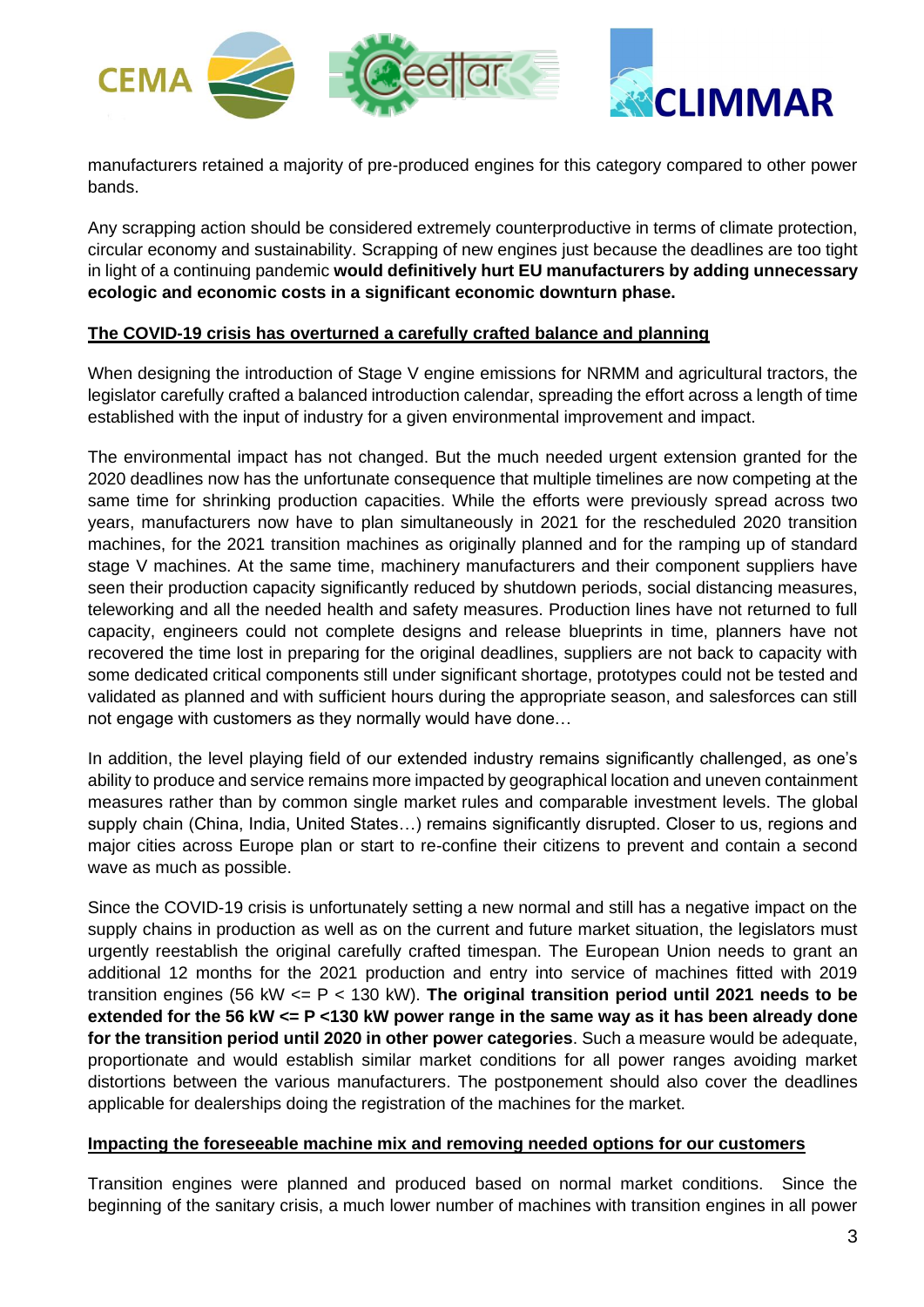

manufacturers retained a majority of pre-produced engines for this category compared to other power bands.

Any scrapping action should be considered extremely counterproductive in terms of climate protection, circular economy and sustainability. Scrapping of new engines just because the deadlines are too tight in light of a continuing pandemic **would definitively hurt EU manufacturers by adding unnecessary ecologic and economic costs in a significant economic downturn phase.**

## **The COVID-19 crisis has overturned a carefully crafted balance and planning**

When designing the introduction of Stage V engine emissions for NRMM and agricultural tractors, the legislator carefully crafted a balanced introduction calendar, spreading the effort across a length of time established with the input of industry for a given environmental improvement and impact.

The environmental impact has not changed. But the much needed urgent extension granted for the 2020 deadlines now has the unfortunate consequence that multiple timelines are now competing at the same time for shrinking production capacities. While the efforts were previously spread across two years, manufacturers now have to plan simultaneously in 2021 for the rescheduled 2020 transition machines, for the 2021 transition machines as originally planned and for the ramping up of standard stage V machines. At the same time, machinery manufacturers and their component suppliers have seen their production capacity significantly reduced by shutdown periods, social distancing measures, teleworking and all the needed health and safety measures. Production lines have not returned to full capacity, engineers could not complete designs and release blueprints in time, planners have not recovered the time lost in preparing for the original deadlines, suppliers are not back to capacity with some dedicated critical components still under significant shortage, prototypes could not be tested and validated as planned and with sufficient hours during the appropriate season, and salesforces can still not engage with customers as they normally would have done…

In addition, the level playing field of our extended industry remains significantly challenged, as one's ability to produce and service remains more impacted by geographical location and uneven containment measures rather than by common single market rules and comparable investment levels. The global supply chain (China, India, United States…) remains significantly disrupted. Closer to us, regions and major cities across Europe plan or start to re-confine their citizens to prevent and contain a second wave as much as possible.

Since the COVID-19 crisis is unfortunately setting a new normal and still has a negative impact on the supply chains in production as well as on the current and future market situation, the legislators must urgently reestablish the original carefully crafted timespan. The European Union needs to grant an additional 12 months for the 2021 production and entry into service of machines fitted with 2019 transition engines (56 kW <= P < 130 kW). **The original transition period until 2021 needs to be extended for the 56 kW <= P <130 kW power range in the same way as it has been already done for the transition period until 2020 in other power categories**. Such a measure would be adequate, proportionate and would establish similar market conditions for all power ranges avoiding market distortions between the various manufacturers. The postponement should also cover the deadlines applicable for dealerships doing the registration of the machines for the market.

### **Impacting the foreseeable machine mix and removing needed options for our customers**

Transition engines were planned and produced based on normal market conditions. Since the beginning of the sanitary crisis, a much lower number of machines with transition engines in all power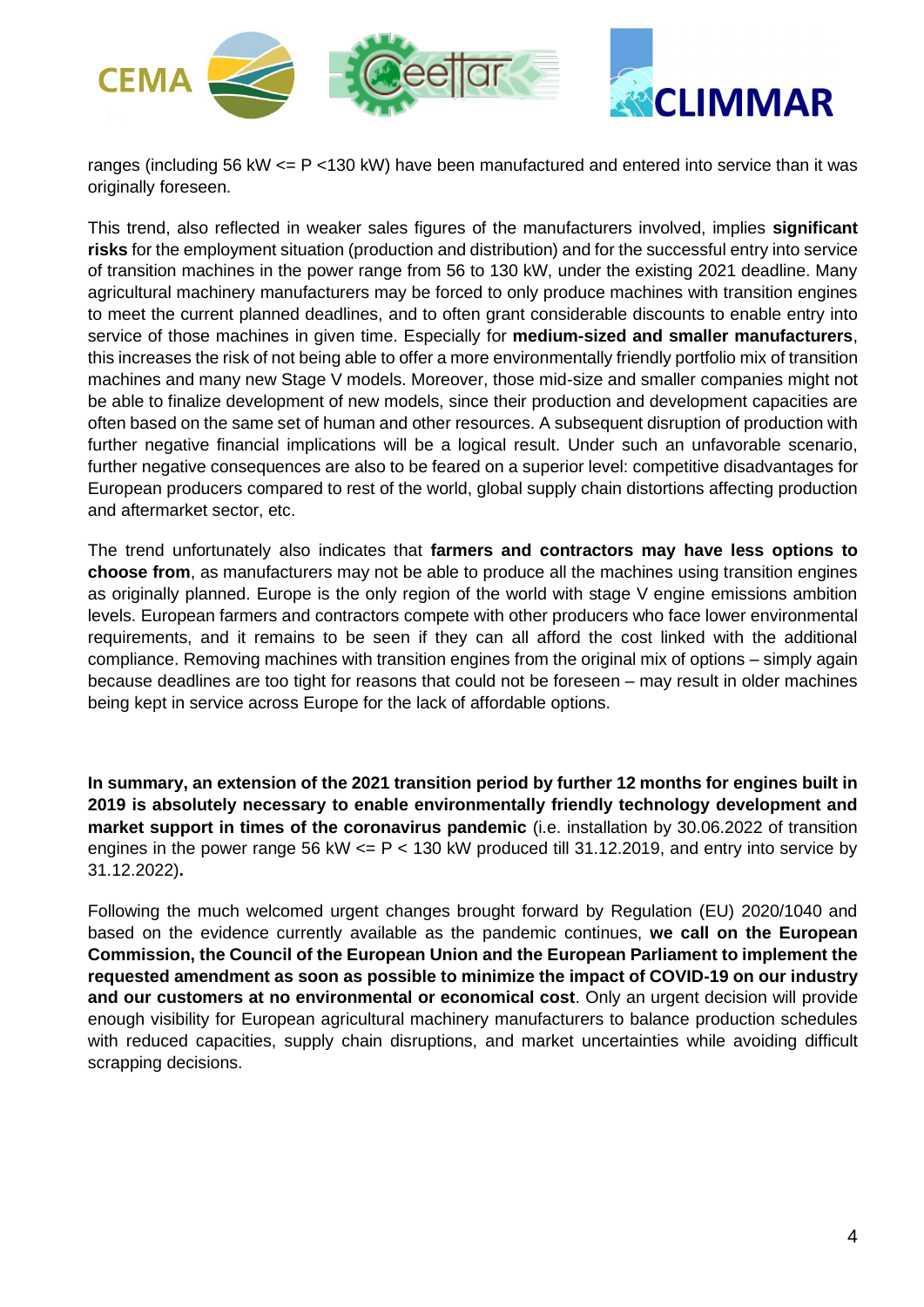

ranges (including 56 kW <= P <130 kW) have been manufactured and entered into service than it was originally foreseen.

This trend, also reflected in weaker sales figures of the manufacturers involved, implies **significant risks** for the employment situation (production and distribution) and for the successful entry into service of transition machines in the power range from 56 to 130 kW, under the existing 2021 deadline. Many agricultural machinery manufacturers may be forced to only produce machines with transition engines to meet the current planned deadlines, and to often grant considerable discounts to enable entry into service of those machines in given time. Especially for **medium-sized and smaller manufacturers**, this increases the risk of not being able to offer a more environmentally friendly portfolio mix of transition machines and many new Stage V models. Moreover, those mid-size and smaller companies might not be able to finalize development of new models, since their production and development capacities are often based on the same set of human and other resources. A subsequent disruption of production with further negative financial implications will be a logical result. Under such an unfavorable scenario, further negative consequences are also to be feared on a superior level: competitive disadvantages for European producers compared to rest of the world, global supply chain distortions affecting production and aftermarket sector, etc.

The trend unfortunately also indicates that **farmers and contractors may have less options to choose from**, as manufacturers may not be able to produce all the machines using transition engines as originally planned. Europe is the only region of the world with stage V engine emissions ambition levels. European farmers and contractors compete with other producers who face lower environmental requirements, and it remains to be seen if they can all afford the cost linked with the additional compliance. Removing machines with transition engines from the original mix of options – simply again because deadlines are too tight for reasons that could not be foreseen – may result in older machines being kept in service across Europe for the lack of affordable options.

**In summary, an extension of the 2021 transition period by further 12 months for engines built in 2019 is absolutely necessary to enable environmentally friendly technology development and market support in times of the coronavirus pandemic** (i.e. installation by 30.06.2022 of transition engines in the power range 56 kW  $\leq$  P  $\leq$  130 kW produced till 31.12.2019, and entry into service by 31.12.2022)**.** 

Following the much welcomed urgent changes brought forward by Regulation (EU) 2020/1040 and based on the evidence currently available as the pandemic continues, **we call on the European Commission, the Council of the European Union and the European Parliament to implement the requested amendment as soon as possible to minimize the impact of COVID-19 on our industry and our customers at no environmental or economical cost**. Only an urgent decision will provide enough visibility for European agricultural machinery manufacturers to balance production schedules with reduced capacities, supply chain disruptions, and market uncertainties while avoiding difficult scrapping decisions.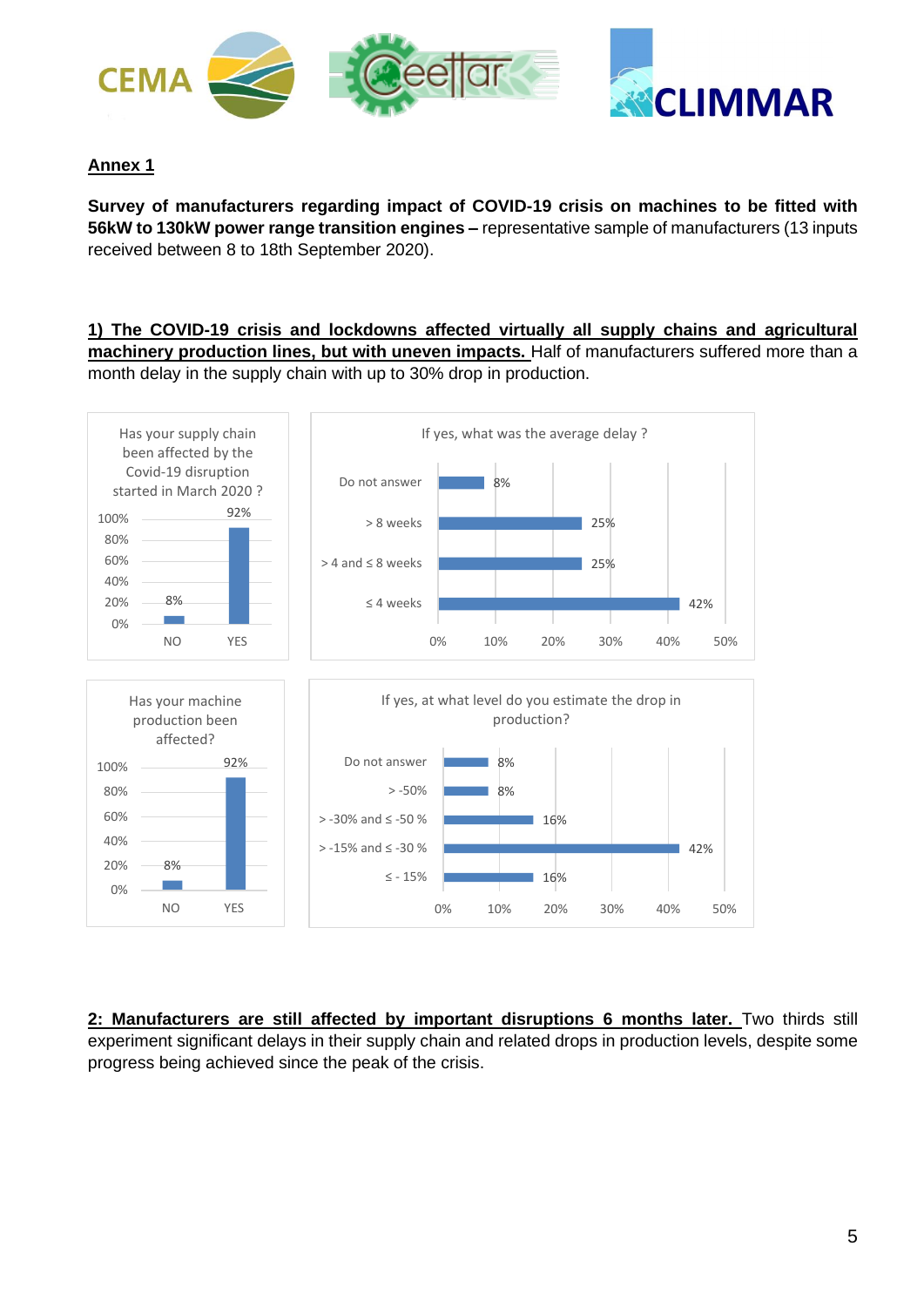

# **Annex 1**

**Survey of manufacturers regarding impact of COVID-19 crisis on machines to be fitted with 56kW to 130kW power range transition engines –** representative sample of manufacturers (13 inputs received between 8 to 18th September 2020).

**1) The COVID-19 crisis and lockdowns affected virtually all supply chains and agricultural machinery production lines, but with uneven impacts.** Half of manufacturers suffered more than a month delay in the supply chain with up to 30% drop in production.



**2: Manufacturers are still affected by important disruptions 6 months later.** Two thirds still experiment significant delays in their supply chain and related drops in production levels, despite some progress being achieved since the peak of the crisis.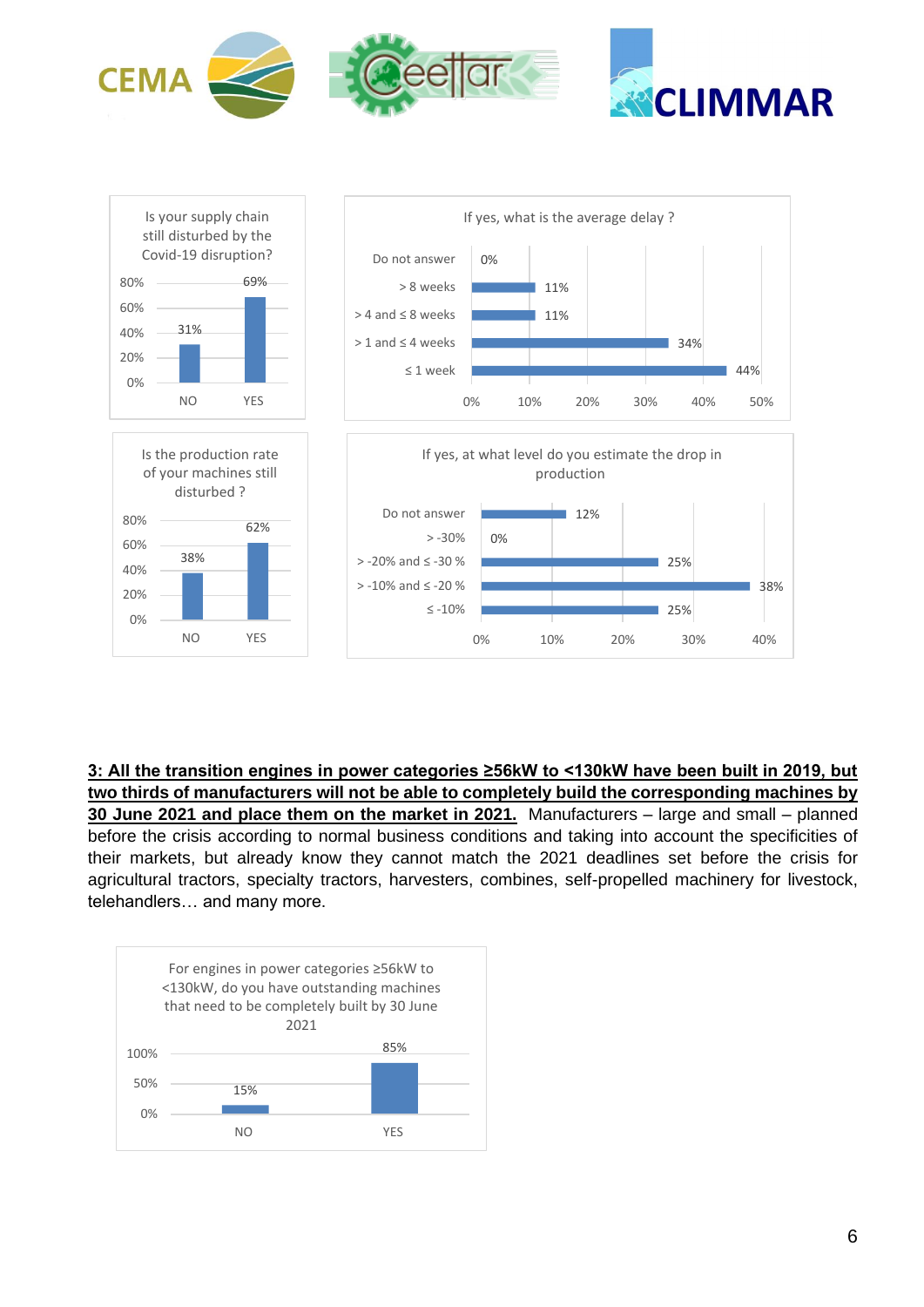



**3: All the transition engines in power categories ≥56kW to <130kW have been built in 2019, but two thirds of manufacturers will not be able to completely build the corresponding machines by 30 June 2021 and place them on the market in 2021.** Manufacturers – large and small – planned before the crisis according to normal business conditions and taking into account the specificities of their markets, but already know they cannot match the 2021 deadlines set before the crisis for agricultural tractors, specialty tractors, harvesters, combines, self-propelled machinery for livestock, telehandlers… and many more.

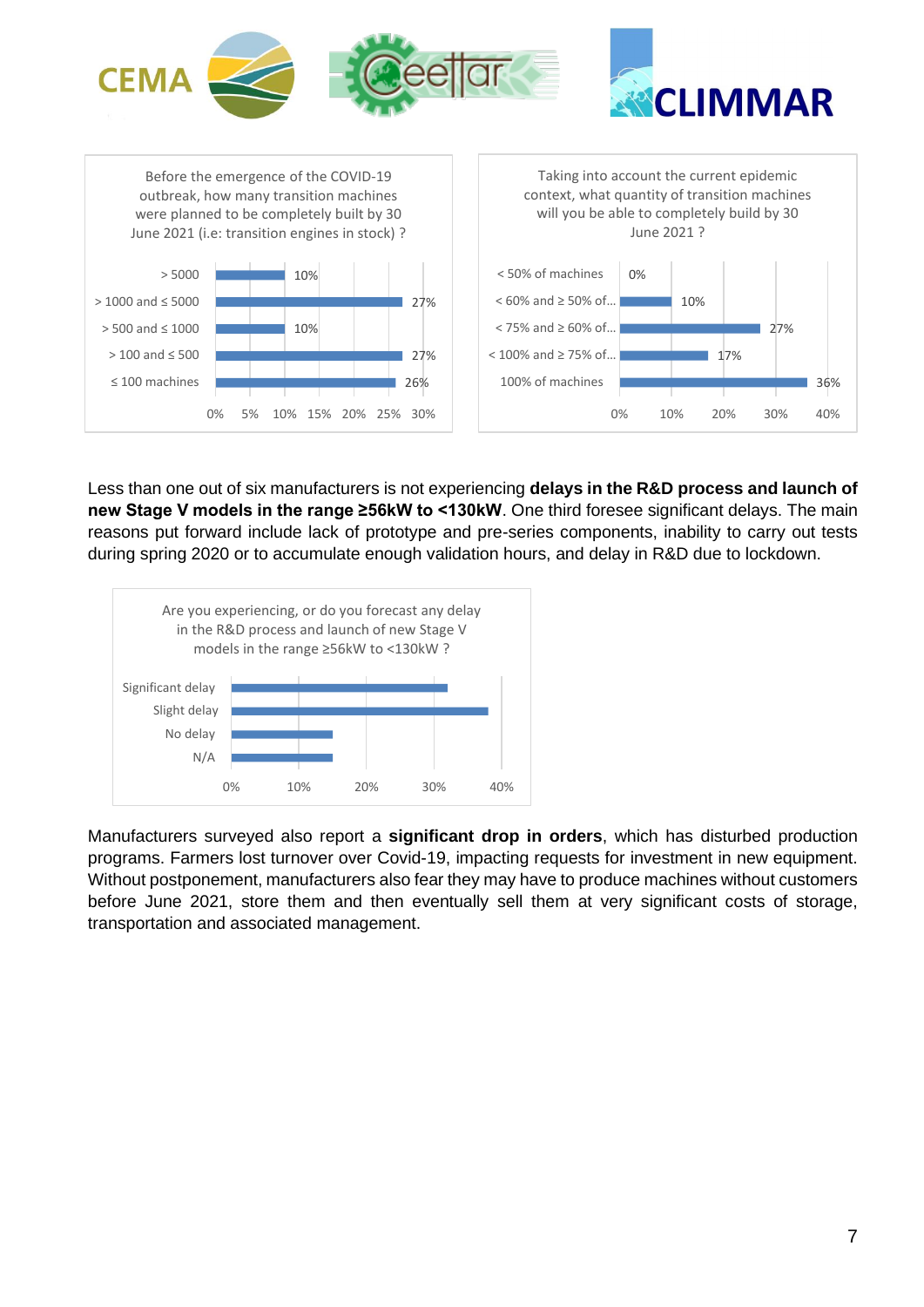

Less than one out of six manufacturers is not experiencing **delays in the R&D process and launch of new Stage V models in the range ≥56kW to <130kW**. One third foresee significant delays. The main reasons put forward include lack of prototype and pre-series components, inability to carry out tests during spring 2020 or to accumulate enough validation hours, and delay in R&D due to lockdown.



Manufacturers surveyed also report a **significant drop in orders**, which has disturbed production programs. Farmers lost turnover over Covid-19, impacting requests for investment in new equipment. Without postponement, manufacturers also fear they may have to produce machines without customers before June 2021, store them and then eventually sell them at very significant costs of storage, transportation and associated management.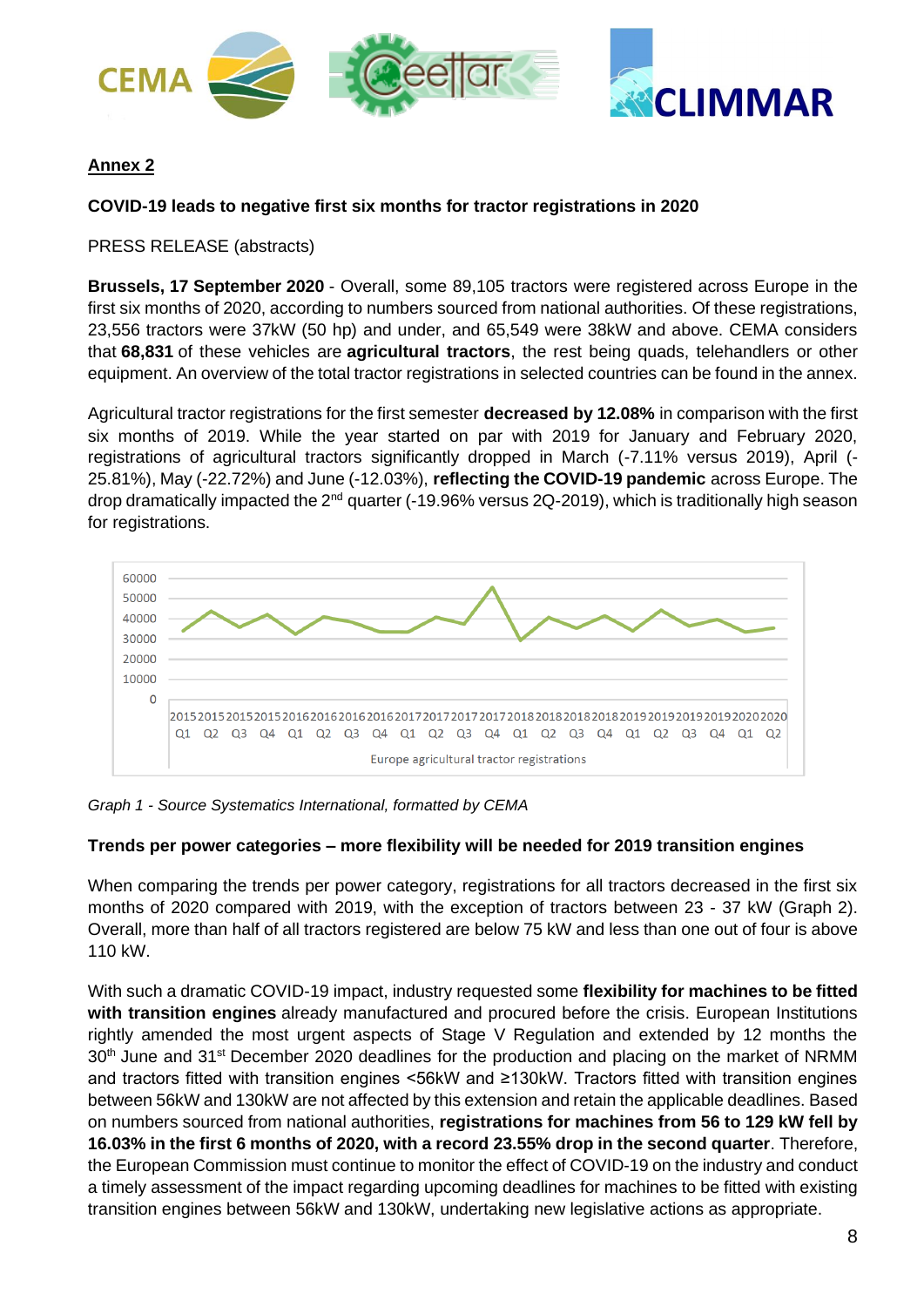



# **Annex 2**

# **COVID-19 leads to negative first six months for tractor registrations in 2020**

## PRESS RELEASE (abstracts)

**Brussels, 17 September 2020** - Overall, some 89,105 tractors were registered across Europe in the first six months of 2020, according to numbers sourced from national authorities. Of these registrations, 23,556 tractors were 37kW (50 hp) and under, and 65,549 were 38kW and above. CEMA considers that **68,831** of these vehicles are **agricultural tractors**, the rest being quads, telehandlers or other equipment. An overview of the total tractor registrations in selected countries can be found in the annex.

Agricultural tractor registrations for the first semester **decreased by 12.08%** in comparison with the first six months of 2019. While the year started on par with 2019 for January and February 2020, registrations of agricultural tractors significantly dropped in March (-7.11% versus 2019), April (- 25.81%), May (-22.72%) and June (-12.03%), **reflecting the COVID-19 pandemic** across Europe. The drop dramatically impacted the 2<sup>nd</sup> quarter (-19.96% versus 2Q-2019), which is traditionally high season for registrations.



*Graph 1 - Source Systematics International, formatted by CEMA*

### **Trends per power categories – more flexibility will be needed for 2019 transition engines**

When comparing the trends per power category, registrations for all tractors decreased in the first six months of 2020 compared with 2019, with the exception of tractors between 23 - 37 kW (Graph 2). Overall, more than half of all tractors registered are below 75 kW and less than one out of four is above 110 kW.

With such a dramatic COVID-19 impact, industry requested some **flexibility for machines to be fitted with transition engines** already manufactured and procured before the crisis. European Institutions rightly amended the most urgent aspects of Stage V Regulation and extended by 12 months the 30<sup>th</sup> June and 31<sup>st</sup> December 2020 deadlines for the production and placing on the market of NRMM and tractors fitted with transition engines <56kW and ≥130kW. Tractors fitted with transition engines between 56kW and 130kW are not affected by this extension and retain the applicable deadlines. Based on numbers sourced from national authorities, **registrations for machines from 56 to 129 kW fell by 16.03% in the first 6 months of 2020, with a record 23.55% drop in the second quarter**. Therefore, the European Commission must continue to monitor the effect of COVID-19 on the industry and conduct a timely assessment of the impact regarding upcoming deadlines for machines to be fitted with existing transition engines between 56kW and 130kW, undertaking new legislative actions as appropriate.